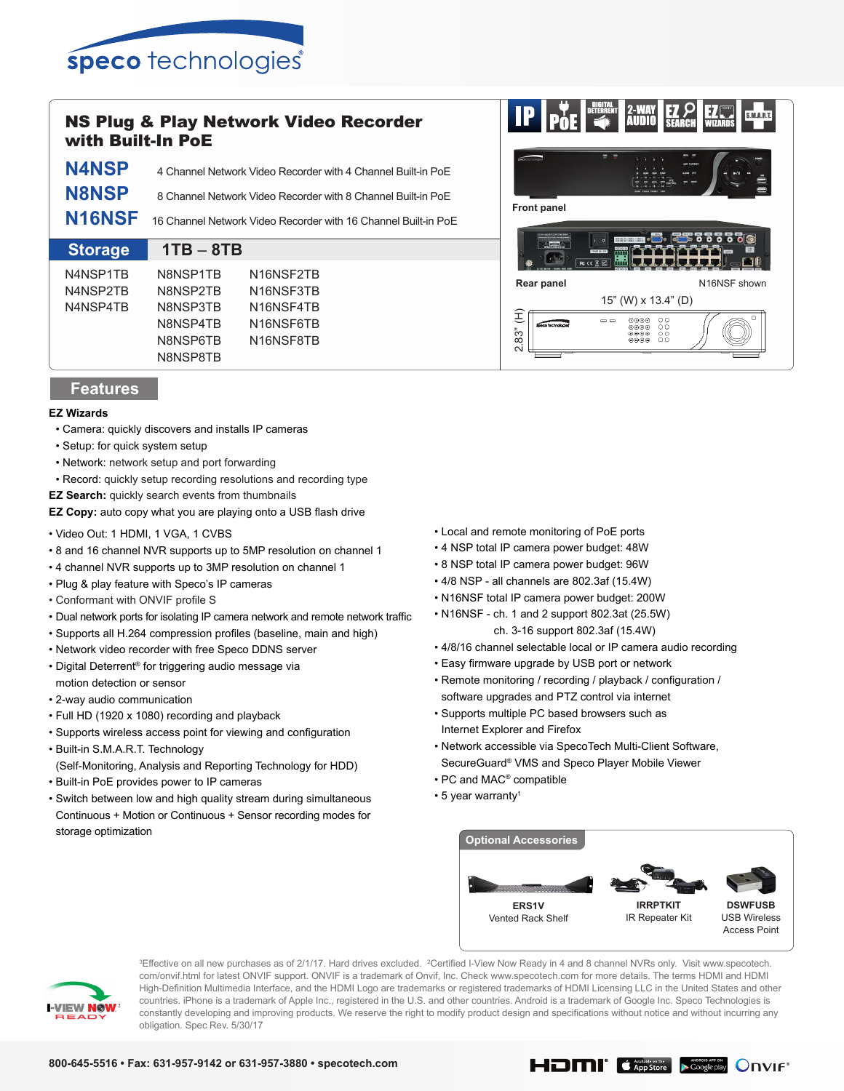

## NS Plug & Play Network Video Recorder with Built-In PoE

| <b>Storage</b> | $1TB - 8TB$                                                           |
|----------------|-----------------------------------------------------------------------|
|                | N16NSF 16 Channel Network Video Recorder with 16 Channel Built-in PoE |
| <b>N8NSP</b>   | 8 Channel Network Video Recorder with 8 Channel Built-in PoE          |
| <b>N4NSP</b>   | 4 Channel Network Video Recorder with 4 Channel Built-in PoE          |

| N4NSP1TB | N8NSP1TB        | N <sub>16</sub> NSF <sub>2</sub> TB |
|----------|-----------------|-------------------------------------|
| N4NSP2TR | N8NSP2TB        | N <sub>16</sub> NSF3TR              |
| N4NSP4TB | N8NSP3TB        | N <sub>16</sub> NSF4TR              |
|          | N8NSP4TB        | N <sub>16</sub> NSF6TB              |
|          | N8NSP6TB        | N <sub>16</sub> NSF8TB              |
|          | <b>N8NSP8TB</b> |                                     |
|          |                 |                                     |

## **Features**

## **EZ Wizards**

- Camera: quickly discovers and installs IP cameras
- Setup: for quick system setup
- Network: network setup and port forwarding
- Record: quickly setup recording resolutions and recording type
- **EZ Search:** quickly search events from thumbnails

**EZ Copy:** auto copy what you are playing onto a USB flash drive

- Video Out: 1 HDMI, 1 VGA, 1 CVBS
- 8 and 16 channel NVR supports up to 5MP resolution on channel 1
- 4 channel NVR supports up to 3MP resolution on channel 1
- Plug & play feature with Speco's IP cameras
- Conformant with ONVIF profile S
- Dual network ports for isolating IP camera network and remote network traffic
- Supports all H.264 compression profiles (baseline, main and high)
- Network video recorder with free Speco DDNS server
- Digital Deterrent® for triggering audio message via motion detection or sensor
- 2-way audio communication
- Full HD (1920 x 1080) recording and playback
- Supports wireless access point for viewing and configuration
- Built-in S.M.A.R.T. Technology (Self-Monitoring, Analysis and Reporting Technology for HDD)
- Built-in PoE provides power to IP cameras
- Switch between low and high quality stream during simultaneous Continuous + Motion or Continuous + Sensor recording modes for storage optimization
- Local and remote monitoring of PoE ports
- 4 NSP total IP camera power budget: 48W
- 8 NSP total IP camera power budget: 96W
- 4/8 NSP all channels are 802.3af (15.4W)
- N16NSF total IP camera power budget: 200W
- N16NSF ch. 1 and 2 support 802.3at (25.5W) ch. 3-16 support 802.3af (15.4W)
- 4/8/16 channel selectable local or IP camera audio recording
- Easy firmware upgrade by USB port or network
- Remote monitoring / recording / playback / configuration / software upgrades and PTZ control via internet
- Supports multiple PC based browsers such as Internet Explorer and Firefox
- Network accessible via SpecoTech Multi-Client Software, SecureGuard® VMS and Speco Player Mobile Viewer
- PC and MAC® compatible
- 5 year warranty1





<sup>3</sup>Effective on all new purchases as of 2/1/17. Hard drives excluded. <sup>2</sup>Certified I-View Now Ready in 4 and 8 channel NVRs only. Visit www.specotech. com/onvif.html for latest ONVIF support. ONVIF is a trademark of Onvif, Inc. Check www.specotech.com for more details. The terms HDMI and HDMI High-Definition Multimedia Interface, and the HDMI Logo are trademarks or registered trademarks of HDMI Licensing LLC in the United States and other countries. iPhone is a trademark of Apple Inc., registered in the U.S. and other countries. Android is a trademark of Google Inc. Speco Technologies is constantly developing and improving products. We reserve the right to modify product design and specifications without notice and without incurring any obligation. Spec Rev. 5/30/17

**HDIII G** App Store Coogle play ONVIF<sup>®</sup>